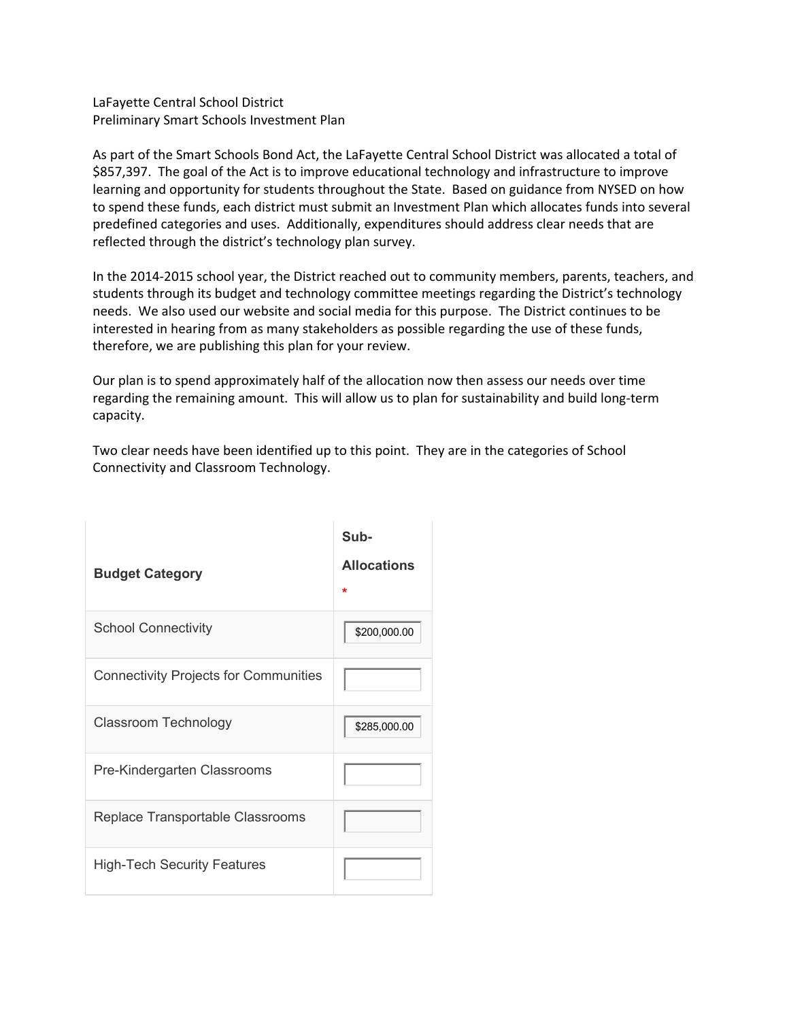LaFayette Central School District Preliminary Smart Schools Investment Plan

As part of the Smart Schools Bond Act, the LaFayette Central School District was allocated a total of \$857,397. The goal of the Act is to improve educational technology and infrastructure to improve learning and opportunity for students throughout the State. Based on guidance from NYSED on how to spend these funds, each district must submit an Investment Plan which allocates funds into several predefined categories and uses. Additionally, expenditures should address clear needs that are reflected through the district's technology plan survey.

In the 2014-2015 school year, the District reached out to community members, parents, teachers, and students through its budget and technology committee meetings regarding the District's technology needs. We also used our website and social media for this purpose. The District continues to be interested in hearing from as many stakeholders as possible regarding the use of these funds, therefore, we are publishing this plan for your review.

Our plan is to spend approximately half of the allocation now then assess our needs over time regarding the remaining amount. This will allow us to plan for sustainability and build long-term capacity.

Two clear needs have been identified up to this point. They are in the categories of School Connectivity and Classroom Technology.

| <b>Budget Category</b>                       | Sub-<br><b>Allocations</b><br>÷ |
|----------------------------------------------|---------------------------------|
| <b>School Connectivity</b>                   | \$200,000.00                    |
| <b>Connectivity Projects for Communities</b> |                                 |
| Classroom Technology                         | \$285,000.00                    |
| Pre-Kindergarten Classrooms                  |                                 |
| Replace Transportable Classrooms             |                                 |
| <b>High-Tech Security Features</b>           |                                 |